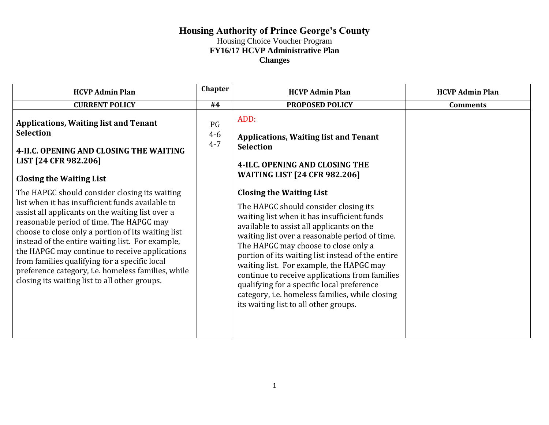| <b>HCVP Admin Plan</b>                                                                                                                                                                                                                                                                                                                                                                                                                                                                                                | Chapter                  | <b>HCVP Admin Plan</b>                                                                                                                                                                                                                                                                                                                                                                                                                                                                                                                                      | <b>HCVP Admin Plan</b> |
|-----------------------------------------------------------------------------------------------------------------------------------------------------------------------------------------------------------------------------------------------------------------------------------------------------------------------------------------------------------------------------------------------------------------------------------------------------------------------------------------------------------------------|--------------------------|-------------------------------------------------------------------------------------------------------------------------------------------------------------------------------------------------------------------------------------------------------------------------------------------------------------------------------------------------------------------------------------------------------------------------------------------------------------------------------------------------------------------------------------------------------------|------------------------|
| <b>CURRENT POLICY</b>                                                                                                                                                                                                                                                                                                                                                                                                                                                                                                 | #4                       | PROPOSED POLICY                                                                                                                                                                                                                                                                                                                                                                                                                                                                                                                                             | <b>Comments</b>        |
| <b>Applications, Waiting list and Tenant</b><br><b>Selection</b><br>4-II.C. OPENING AND CLOSING THE WAITING<br>LIST [24 CFR 982.206]<br><b>Closing the Waiting List</b>                                                                                                                                                                                                                                                                                                                                               | PG<br>$4 - 6$<br>$4 - 7$ | ADD:<br><b>Applications, Waiting list and Tenant</b><br><b>Selection</b><br>4-II.C. OPENING AND CLOSING THE<br><b>WAITING LIST [24 CFR 982.206]</b>                                                                                                                                                                                                                                                                                                                                                                                                         |                        |
| The HAPGC should consider closing its waiting<br>list when it has insufficient funds available to<br>assist all applicants on the waiting list over a<br>reasonable period of time. The HAPGC may<br>choose to close only a portion of its waiting list<br>instead of the entire waiting list. For example,<br>the HAPGC may continue to receive applications<br>from families qualifying for a specific local<br>preference category, i.e. homeless families, while<br>closing its waiting list to all other groups. |                          | <b>Closing the Waiting List</b><br>The HAPGC should consider closing its<br>waiting list when it has insufficient funds<br>available to assist all applicants on the<br>waiting list over a reasonable period of time.<br>The HAPGC may choose to close only a<br>portion of its waiting list instead of the entire<br>waiting list. For example, the HAPGC may<br>continue to receive applications from families<br>qualifying for a specific local preference<br>category, i.e. homeless families, while closing<br>its waiting list to all other groups. |                        |
|                                                                                                                                                                                                                                                                                                                                                                                                                                                                                                                       |                          |                                                                                                                                                                                                                                                                                                                                                                                                                                                                                                                                                             |                        |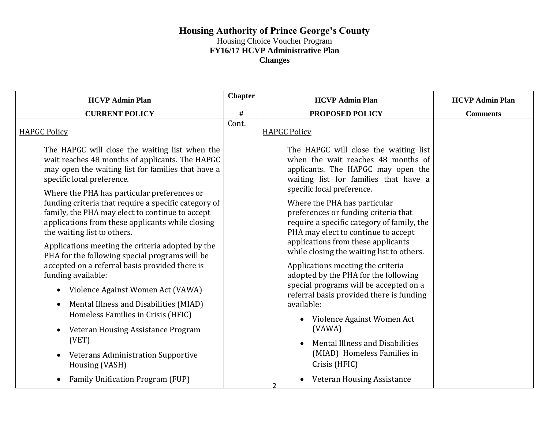| <b>HCVP Admin Plan</b>                                                                                                                                                                                                                                                                           | <b>Chapter</b> | <b>HCVP Admin Plan</b>                                                                                                                                                                                                                       | <b>HCVP Admin Plan</b> |
|--------------------------------------------------------------------------------------------------------------------------------------------------------------------------------------------------------------------------------------------------------------------------------------------------|----------------|----------------------------------------------------------------------------------------------------------------------------------------------------------------------------------------------------------------------------------------------|------------------------|
| <b>CURRENT POLICY</b>                                                                                                                                                                                                                                                                            | $\#$           | PROPOSED POLICY                                                                                                                                                                                                                              | <b>Comments</b>        |
| <b>HAPGC Policy</b>                                                                                                                                                                                                                                                                              | Cont.          | <b>HAPGC Policy</b>                                                                                                                                                                                                                          |                        |
| The HAPGC will close the waiting list when the<br>wait reaches 48 months of applicants. The HAPGC<br>may open the waiting list for families that have a<br>specific local preference.<br>Where the PHA has particular preferences or                                                             |                | The HAPGC will close the waiting list<br>when the wait reaches 48 months of<br>applicants. The HAPGC may open the<br>waiting list for families that have a<br>specific local preference.                                                     |                        |
| funding criteria that require a specific category of<br>family, the PHA may elect to continue to accept<br>applications from these applicants while closing<br>the waiting list to others.<br>Applications meeting the criteria adopted by the<br>PHA for the following special programs will be |                | Where the PHA has particular<br>preferences or funding criteria that<br>require a specific category of family, the<br>PHA may elect to continue to accept<br>applications from these applicants<br>while closing the waiting list to others. |                        |
| accepted on a referral basis provided there is<br>funding available:<br>Violence Against Women Act (VAWA)<br>Mental Illness and Disabilities (MIAD)                                                                                                                                              |                | Applications meeting the criteria<br>adopted by the PHA for the following<br>special programs will be accepted on a<br>referral basis provided there is funding<br>available:                                                                |                        |
| Homeless Families in Crisis (HFIC)<br>Veteran Housing Assistance Program<br>(VET)<br><b>Veterans Administration Supportive</b><br>Housing (VASH)                                                                                                                                                 |                | Violence Against Women Act<br>(VAWA)<br>Mental Illness and Disabilities<br>(MIAD) Homeless Families in<br>Crisis (HFIC)                                                                                                                      |                        |
| Family Unification Program (FUP)                                                                                                                                                                                                                                                                 |                | <b>Veteran Housing Assistance</b>                                                                                                                                                                                                            |                        |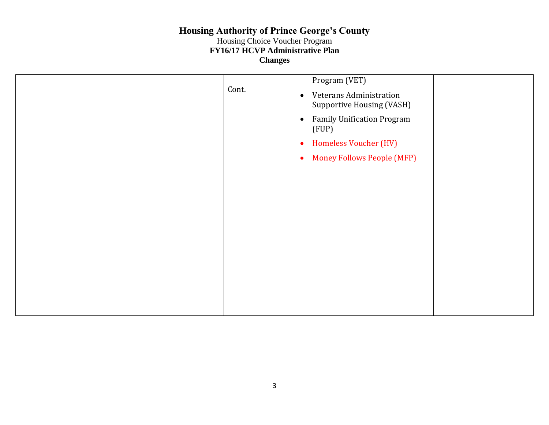|       | Program (VET)                                                            |
|-------|--------------------------------------------------------------------------|
| Cont. | Veterans Administration<br>$\bullet$<br><b>Supportive Housing (VASH)</b> |
|       | <b>Family Unification Program</b><br>$\bullet$<br>(FUP)                  |
|       | <b>Homeless Voucher (HV)</b><br>$\bullet$                                |
|       | <b>Money Follows People (MFP)</b><br>$\bullet$                           |
|       |                                                                          |
|       |                                                                          |
|       |                                                                          |
|       |                                                                          |
|       |                                                                          |
|       |                                                                          |
|       |                                                                          |
|       |                                                                          |
|       |                                                                          |
|       |                                                                          |
|       |                                                                          |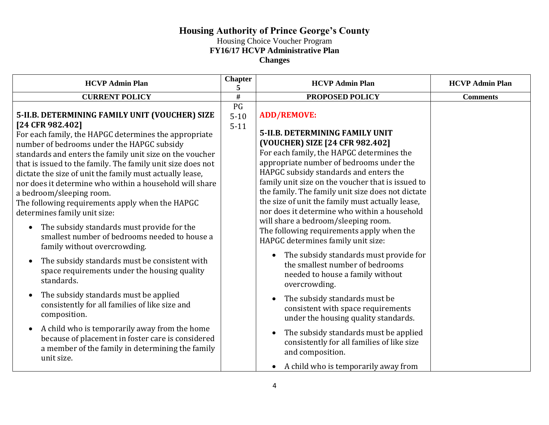| <b>HCVP Admin Plan</b>                                                                                                                                                                                                                                                                                                                                                                                                                                                                                                                                                                                                                                                                                                                                                                                             | <b>Chapter</b><br>5        | <b>HCVP Admin Plan</b>                                                                                                                                                                                                                                                                                                                                                                                                                                                                                                                                                                                                                                                                      | <b>HCVP Admin Plan</b> |
|--------------------------------------------------------------------------------------------------------------------------------------------------------------------------------------------------------------------------------------------------------------------------------------------------------------------------------------------------------------------------------------------------------------------------------------------------------------------------------------------------------------------------------------------------------------------------------------------------------------------------------------------------------------------------------------------------------------------------------------------------------------------------------------------------------------------|----------------------------|---------------------------------------------------------------------------------------------------------------------------------------------------------------------------------------------------------------------------------------------------------------------------------------------------------------------------------------------------------------------------------------------------------------------------------------------------------------------------------------------------------------------------------------------------------------------------------------------------------------------------------------------------------------------------------------------|------------------------|
| <b>CURRENT POLICY</b>                                                                                                                                                                                                                                                                                                                                                                                                                                                                                                                                                                                                                                                                                                                                                                                              | $\overline{\#}$            | <b>PROPOSED POLICY</b>                                                                                                                                                                                                                                                                                                                                                                                                                                                                                                                                                                                                                                                                      | <b>Comments</b>        |
| 5-II.B. DETERMINING FAMILY UNIT (VOUCHER) SIZE<br>[24 CFR 982.402]<br>For each family, the HAPGC determines the appropriate<br>number of bedrooms under the HAPGC subsidy<br>standards and enters the family unit size on the voucher<br>that is issued to the family. The family unit size does not<br>dictate the size of unit the family must actually lease,<br>nor does it determine who within a household will share<br>a bedroom/sleeping room.<br>The following requirements apply when the HAPGC<br>determines family unit size:<br>The subsidy standards must provide for the<br>$\bullet$<br>smallest number of bedrooms needed to house a<br>family without overcrowding.<br>The subsidy standards must be consistent with<br>$\bullet$<br>space requirements under the housing quality<br>standards. | PG<br>$5 - 10$<br>$5 - 11$ | <b>ADD/REMOVE:</b><br><b>5-II.B. DETERMINING FAMILY UNIT</b><br>(VOUCHER) SIZE [24 CFR 982.402]<br>For each family, the HAPGC determines the<br>appropriate number of bedrooms under the<br>HAPGC subsidy standards and enters the<br>family unit size on the voucher that is issued to<br>the family. The family unit size does not dictate<br>the size of unit the family must actually lease,<br>nor does it determine who within a household<br>will share a bedroom/sleeping room.<br>The following requirements apply when the<br>HAPGC determines family unit size:<br>The subsidy standards must provide for<br>the smallest number of bedrooms<br>needed to house a family without |                        |
| The subsidy standards must be applied<br>$\bullet$<br>consistently for all families of like size and<br>composition.<br>A child who is temporarily away from the home<br>$\bullet$<br>because of placement in foster care is considered<br>a member of the family in determining the family<br>unit size.                                                                                                                                                                                                                                                                                                                                                                                                                                                                                                          |                            | overcrowding.<br>The subsidy standards must be<br>$\bullet$<br>consistent with space requirements<br>under the housing quality standards.<br>The subsidy standards must be applied<br>$\bullet$<br>consistently for all families of like size<br>and composition.                                                                                                                                                                                                                                                                                                                                                                                                                           |                        |
|                                                                                                                                                                                                                                                                                                                                                                                                                                                                                                                                                                                                                                                                                                                                                                                                                    |                            | A child who is temporarily away from                                                                                                                                                                                                                                                                                                                                                                                                                                                                                                                                                                                                                                                        |                        |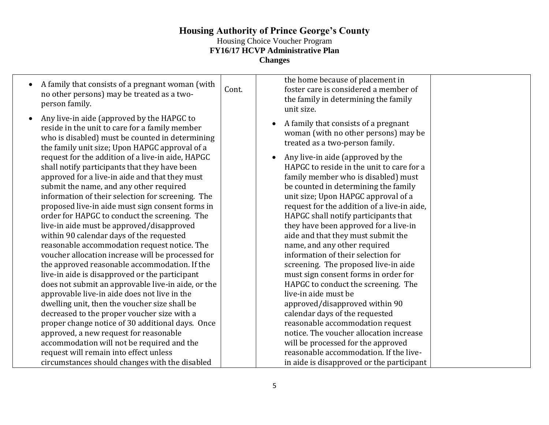| A family that consists of a pregnant woman (with<br>$\bullet$<br>no other persons) may be treated as a two-<br>person family.<br>Any live-in aide (approved by the HAPGC to<br>reside in the unit to care for a family member<br>who is disabled) must be counted in determining<br>the family unit size; Upon HAPGC approval of a<br>request for the addition of a live-in aide, HAPGC<br>shall notify participants that they have been | Cont. | the home because of placement in<br>foster care is considered a member of<br>the family in determining the family<br>unit size.<br>A family that consists of a pregnant<br>woman (with no other persons) may be<br>treated as a two-person family.<br>Any live-in aide (approved by the<br>HAPGC to reside in the unit to care for a |
|------------------------------------------------------------------------------------------------------------------------------------------------------------------------------------------------------------------------------------------------------------------------------------------------------------------------------------------------------------------------------------------------------------------------------------------|-------|--------------------------------------------------------------------------------------------------------------------------------------------------------------------------------------------------------------------------------------------------------------------------------------------------------------------------------------|
| approved for a live-in aide and that they must                                                                                                                                                                                                                                                                                                                                                                                           |       | family member who is disabled) must                                                                                                                                                                                                                                                                                                  |
| submit the name, and any other required<br>information of their selection for screening. The                                                                                                                                                                                                                                                                                                                                             |       | be counted in determining the family<br>unit size; Upon HAPGC approval of a                                                                                                                                                                                                                                                          |
| proposed live-in aide must sign consent forms in                                                                                                                                                                                                                                                                                                                                                                                         |       | request for the addition of a live-in aide,                                                                                                                                                                                                                                                                                          |
| order for HAPGC to conduct the screening. The                                                                                                                                                                                                                                                                                                                                                                                            |       | HAPGC shall notify participants that                                                                                                                                                                                                                                                                                                 |
| live-in aide must be approved/disapproved                                                                                                                                                                                                                                                                                                                                                                                                |       | they have been approved for a live-in                                                                                                                                                                                                                                                                                                |
| within 90 calendar days of the requested                                                                                                                                                                                                                                                                                                                                                                                                 |       | aide and that they must submit the                                                                                                                                                                                                                                                                                                   |
| reasonable accommodation request notice. The                                                                                                                                                                                                                                                                                                                                                                                             |       | name, and any other required                                                                                                                                                                                                                                                                                                         |
| voucher allocation increase will be processed for                                                                                                                                                                                                                                                                                                                                                                                        |       | information of their selection for                                                                                                                                                                                                                                                                                                   |
| the approved reasonable accommodation. If the                                                                                                                                                                                                                                                                                                                                                                                            |       | screening. The proposed live-in aide                                                                                                                                                                                                                                                                                                 |
| live-in aide is disapproved or the participant                                                                                                                                                                                                                                                                                                                                                                                           |       | must sign consent forms in order for                                                                                                                                                                                                                                                                                                 |
| does not submit an approvable live-in aide, or the                                                                                                                                                                                                                                                                                                                                                                                       |       | HAPGC to conduct the screening. The                                                                                                                                                                                                                                                                                                  |
| approvable live-in aide does not live in the                                                                                                                                                                                                                                                                                                                                                                                             |       | live-in aide must be                                                                                                                                                                                                                                                                                                                 |
| dwelling unit, then the voucher size shall be                                                                                                                                                                                                                                                                                                                                                                                            |       | approved/disapproved within 90                                                                                                                                                                                                                                                                                                       |
| decreased to the proper voucher size with a                                                                                                                                                                                                                                                                                                                                                                                              |       | calendar days of the requested                                                                                                                                                                                                                                                                                                       |
| proper change notice of 30 additional days. Once                                                                                                                                                                                                                                                                                                                                                                                         |       | reasonable accommodation request                                                                                                                                                                                                                                                                                                     |
| approved, a new request for reasonable                                                                                                                                                                                                                                                                                                                                                                                                   |       | notice. The voucher allocation increase                                                                                                                                                                                                                                                                                              |
| accommodation will not be required and the                                                                                                                                                                                                                                                                                                                                                                                               |       | will be processed for the approved                                                                                                                                                                                                                                                                                                   |
| request will remain into effect unless                                                                                                                                                                                                                                                                                                                                                                                                   |       | reasonable accommodation. If the live-                                                                                                                                                                                                                                                                                               |
| circumstances should changes with the disabled                                                                                                                                                                                                                                                                                                                                                                                           |       | in aide is disapproved or the participant                                                                                                                                                                                                                                                                                            |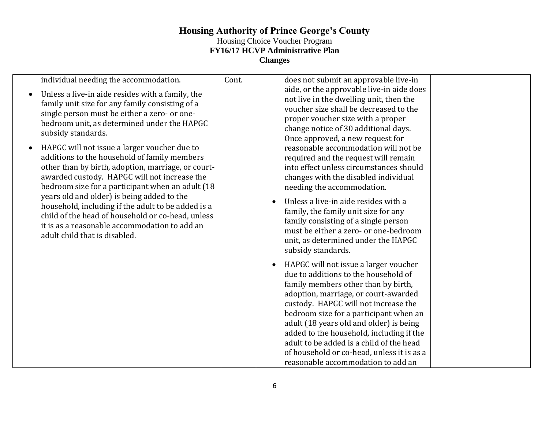| individual needing the accommodation.<br>Unless a live-in aide resides with a family, the<br>family unit size for any family consisting of a<br>single person must be either a zero- or one-<br>bedroom unit, as determined under the HAPGC<br>subsidy standards.<br>HAPGC will not issue a larger voucher due to<br>additions to the household of family members<br>other than by birth, adoption, marriage, or court-<br>awarded custody. HAPGC will not increase the<br>bedroom size for a participant when an adult (18<br>years old and older) is being added to the<br>household, including if the adult to be added is a<br>child of the head of household or co-head, unless<br>it is as a reasonable accommodation to add an<br>adult child that is disabled. | Cont. | does not submit an approvable live-in<br>aide, or the approvable live-in aide does<br>not live in the dwelling unit, then the<br>voucher size shall be decreased to the<br>proper voucher size with a proper<br>change notice of 30 additional days.<br>Once approved, a new request for<br>reasonable accommodation will not be<br>required and the request will remain<br>into effect unless circumstances should<br>changes with the disabled individual<br>needing the accommodation.<br>Unless a live-in aide resides with a<br>family, the family unit size for any<br>family consisting of a single person<br>must be either a zero- or one-bedroom |
|------------------------------------------------------------------------------------------------------------------------------------------------------------------------------------------------------------------------------------------------------------------------------------------------------------------------------------------------------------------------------------------------------------------------------------------------------------------------------------------------------------------------------------------------------------------------------------------------------------------------------------------------------------------------------------------------------------------------------------------------------------------------|-------|------------------------------------------------------------------------------------------------------------------------------------------------------------------------------------------------------------------------------------------------------------------------------------------------------------------------------------------------------------------------------------------------------------------------------------------------------------------------------------------------------------------------------------------------------------------------------------------------------------------------------------------------------------|
|                                                                                                                                                                                                                                                                                                                                                                                                                                                                                                                                                                                                                                                                                                                                                                        |       | unit, as determined under the HAPGC<br>subsidy standards.<br>HAPGC will not issue a larger voucher<br>$\bullet$<br>due to additions to the household of<br>family members other than by birth,<br>adoption, marriage, or court-awarded<br>custody. HAPGC will not increase the<br>bedroom size for a participant when an<br>adult (18 years old and older) is being<br>added to the household, including if the<br>adult to be added is a child of the head<br>of household or co-head, unless it is as a<br>reasonable accommodation to add an                                                                                                            |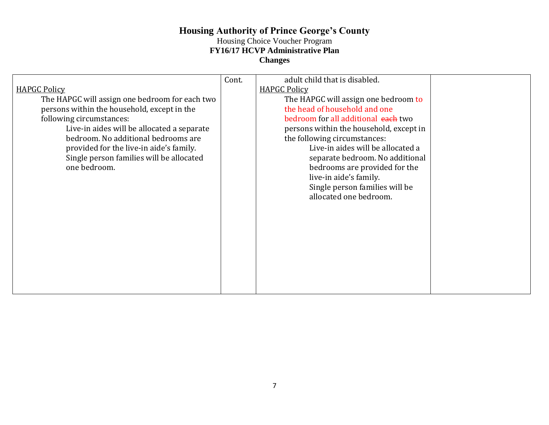| <b>HAPGC Policy</b><br>The HAPGC will assign one bedroom for each two<br>persons within the household, except in the<br>following circumstances:<br>Live-in aides will be allocated a separate<br>bedroom. No additional bedrooms are<br>provided for the live-in aide's family.<br>Single person families will be allocated<br>one bedroom. | Cont. | adult child that is disabled.<br><b>HAPGC Policy</b><br>The HAPGC will assign one bedroom to<br>the head of household and one<br>bedroom for all additional each two<br>persons within the household, except in<br>the following circumstances:<br>Live-in aides will be allocated a<br>separate bedroom. No additional<br>bedrooms are provided for the<br>live-in aide's family.<br>Single person families will be<br>allocated one bedroom. |  |
|----------------------------------------------------------------------------------------------------------------------------------------------------------------------------------------------------------------------------------------------------------------------------------------------------------------------------------------------|-------|------------------------------------------------------------------------------------------------------------------------------------------------------------------------------------------------------------------------------------------------------------------------------------------------------------------------------------------------------------------------------------------------------------------------------------------------|--|
|                                                                                                                                                                                                                                                                                                                                              |       |                                                                                                                                                                                                                                                                                                                                                                                                                                                |  |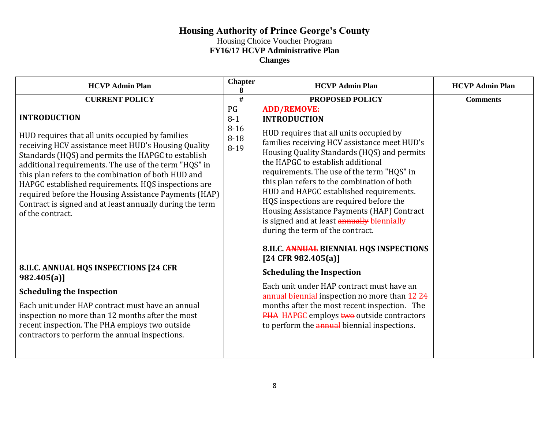| <b>HCVP Admin Plan</b>                                                                                                                                                                                                                                                                                                                                                                                                                                                                               | <b>Chapter</b><br>8                           | <b>HCVP Admin Plan</b>                                                                                                                                                                                                                                                                                                                                                                                                                                                                                                                      | <b>HCVP Admin Plan</b> |
|------------------------------------------------------------------------------------------------------------------------------------------------------------------------------------------------------------------------------------------------------------------------------------------------------------------------------------------------------------------------------------------------------------------------------------------------------------------------------------------------------|-----------------------------------------------|---------------------------------------------------------------------------------------------------------------------------------------------------------------------------------------------------------------------------------------------------------------------------------------------------------------------------------------------------------------------------------------------------------------------------------------------------------------------------------------------------------------------------------------------|------------------------|
| <b>CURRENT POLICY</b>                                                                                                                                                                                                                                                                                                                                                                                                                                                                                | #                                             | PROPOSED POLICY                                                                                                                                                                                                                                                                                                                                                                                                                                                                                                                             | <b>Comments</b>        |
| <b>INTRODUCTION</b><br>HUD requires that all units occupied by families<br>receiving HCV assistance meet HUD's Housing Quality<br>Standards (HQS) and permits the HAPGC to establish<br>additional requirements. The use of the term "HQS" in<br>this plan refers to the combination of both HUD and<br>HAPGC established requirements. HQS inspections are<br>required before the Housing Assistance Payments (HAP)<br>Contract is signed and at least annually during the term<br>of the contract. | PG<br>$8-1$<br>$8 - 16$<br>$8 - 18$<br>$8-19$ | <b>ADD/REMOVE:</b><br><b>INTRODUCTION</b><br>HUD requires that all units occupied by<br>families receiving HCV assistance meet HUD's<br>Housing Quality Standards (HQS) and permits<br>the HAPGC to establish additional<br>requirements. The use of the term "HQS" in<br>this plan refers to the combination of both<br>HUD and HAPGC established requirements.<br>HQS inspections are required before the<br>Housing Assistance Payments (HAP) Contract<br>is signed and at least annually biennially<br>during the term of the contract. |                        |
| 8.II.C. ANNUAL HQS INSPECTIONS [24 CFR<br>982.405(a)<br><b>Scheduling the Inspection</b><br>Each unit under HAP contract must have an annual<br>inspection no more than 12 months after the most<br>recent inspection. The PHA employs two outside<br>contractors to perform the annual inspections.                                                                                                                                                                                                 |                                               | 8.II.C. ANNUAL BIENNIAL HQS INSPECTIONS<br>[24 CFR 982.405(a)]<br><b>Scheduling the Inspection</b><br>Each unit under HAP contract must have an<br>annual biennial inspection no more than 4224<br>months after the most recent inspection. The<br>PHA HAPGC employs two outside contractors<br>to perform the <i>annual</i> biennial inspections.                                                                                                                                                                                          |                        |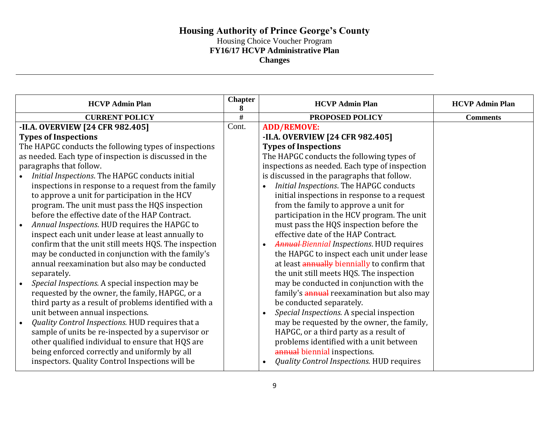| <b>HCVP Admin Plan</b>                                 | <b>Chapter</b><br>8 | <b>HCVP Admin Plan</b>                                        | <b>HCVP Admin Plan</b> |
|--------------------------------------------------------|---------------------|---------------------------------------------------------------|------------------------|
| <b>CURRENT POLICY</b>                                  | #                   | PROPOSED POLICY                                               | <b>Comments</b>        |
| -II.A. OVERVIEW [24 CFR 982.405]                       | Cont.               | <b>ADD/REMOVE:</b>                                            |                        |
| <b>Types of Inspections</b>                            |                     | -II.A. OVERVIEW [24 CFR 982.405]                              |                        |
| The HAPGC conducts the following types of inspections  |                     | <b>Types of Inspections</b>                                   |                        |
| as needed. Each type of inspection is discussed in the |                     | The HAPGC conducts the following types of                     |                        |
| paragraphs that follow.                                |                     | inspections as needed. Each type of inspection                |                        |
| Initial Inspections. The HAPGC conducts initial        |                     | is discussed in the paragraphs that follow.                   |                        |
| inspections in response to a request from the family   |                     | Initial Inspections. The HAPGC conducts                       |                        |
| to approve a unit for participation in the HCV         |                     | initial inspections in response to a request                  |                        |
| program. The unit must pass the HQS inspection         |                     | from the family to approve a unit for                         |                        |
| before the effective date of the HAP Contract.         |                     | participation in the HCV program. The unit                    |                        |
| Annual Inspections. HUD requires the HAPGC to          |                     | must pass the HQS inspection before the                       |                        |
| inspect each unit under lease at least annually to     |                     | effective date of the HAP Contract.                           |                        |
| confirm that the unit still meets HQS. The inspection  |                     | <b>Annual Biennial Inspections. HUD requires</b>              |                        |
| may be conducted in conjunction with the family's      |                     | the HAPGC to inspect each unit under lease                    |                        |
| annual reexamination but also may be conducted         |                     | at least annually biennially to confirm that                  |                        |
| separately.                                            |                     | the unit still meets HQS. The inspection                      |                        |
| Special Inspections. A special inspection may be       |                     | may be conducted in conjunction with the                      |                        |
| requested by the owner, the family, HAPGC, or a        |                     | family's annual reexamination but also may                    |                        |
| third party as a result of problems identified with a  |                     | be conducted separately.                                      |                        |
| unit between annual inspections.                       |                     | Special Inspections. A special inspection<br>$\bullet$        |                        |
| Quality Control Inspections. HUD requires that a       |                     | may be requested by the owner, the family,                    |                        |
| sample of units be re-inspected by a supervisor or     |                     | HAPGC, or a third party as a result of                        |                        |
| other qualified individual to ensure that HQS are      |                     | problems identified with a unit between                       |                        |
| being enforced correctly and uniformly by all          |                     | annual biennial inspections.                                  |                        |
| inspectors. Quality Control Inspections will be        |                     | <b>Quality Control Inspections. HUD requires</b><br>$\bullet$ |                        |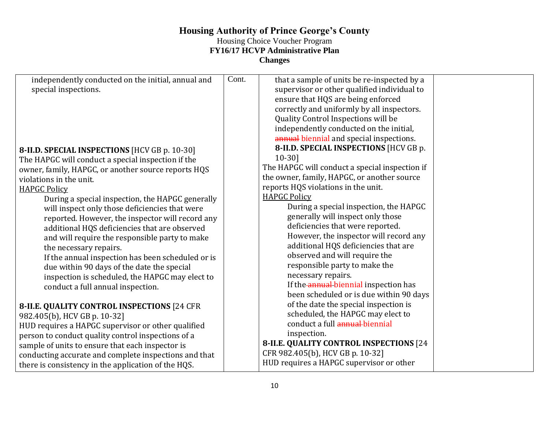# **Housing Authority of Prince George's County**

## Housing Choice Voucher Program

**FY16/17 HCVP Administrative Plan**

**Changes**

| independently conducted on the initial, annual and    | Cont. | that a sample of units be re-inspected by a    |  |
|-------------------------------------------------------|-------|------------------------------------------------|--|
| special inspections.                                  |       | supervisor or other qualified individual to    |  |
|                                                       |       | ensure that HQS are being enforced             |  |
|                                                       |       | correctly and uniformly by all inspectors.     |  |
|                                                       |       | Quality Control Inspections will be            |  |
|                                                       |       | independently conducted on the initial,        |  |
|                                                       |       | annual biennial and special inspections.       |  |
| 8-II.D. SPECIAL INSPECTIONS [HCV GB p. 10-30]         |       | 8-II.D. SPECIAL INSPECTIONS [HCV GB p.         |  |
| The HAPGC will conduct a special inspection if the    |       | $10-30$ ]                                      |  |
| owner, family, HAPGC, or another source reports HQS   |       | The HAPGC will conduct a special inspection if |  |
| violations in the unit.                               |       | the owner, family, HAPGC, or another source    |  |
| <b>HAPGC Policy</b>                                   |       | reports HQS violations in the unit.            |  |
| During a special inspection, the HAPGC generally      |       | <b>HAPGC Policy</b>                            |  |
| will inspect only those deficiencies that were        |       | During a special inspection, the HAPGC         |  |
| reported. However, the inspector will record any      |       | generally will inspect only those              |  |
| additional HQS deficiencies that are observed         |       | deficiencies that were reported.               |  |
| and will require the responsible party to make        |       | However, the inspector will record any         |  |
| the necessary repairs.                                |       | additional HQS deficiencies that are           |  |
| If the annual inspection has been scheduled or is     |       | observed and will require the                  |  |
| due within 90 days of the date the special            |       | responsible party to make the                  |  |
| inspection is scheduled, the HAPGC may elect to       |       | necessary repairs.                             |  |
| conduct a full annual inspection.                     |       | If the annual biennial inspection has          |  |
|                                                       |       | been scheduled or is due within 90 days        |  |
| 8-II.E. QUALITY CONTROL INSPECTIONS [24 CFR           |       | of the date the special inspection is          |  |
| 982.405(b), HCV GB p. 10-32]                          |       | scheduled, the HAPGC may elect to              |  |
| HUD requires a HAPGC supervisor or other qualified    |       | conduct a full annual-biennial                 |  |
| person to conduct quality control inspections of a    |       | inspection.                                    |  |
| sample of units to ensure that each inspector is      |       | 8-II.E. QUALITY CONTROL INSPECTIONS [24        |  |
| conducting accurate and complete inspections and that |       | CFR 982.405(b), HCV GB p. 10-32]               |  |
| there is consistency in the application of the HQS.   |       | HUD requires a HAPGC supervisor or other       |  |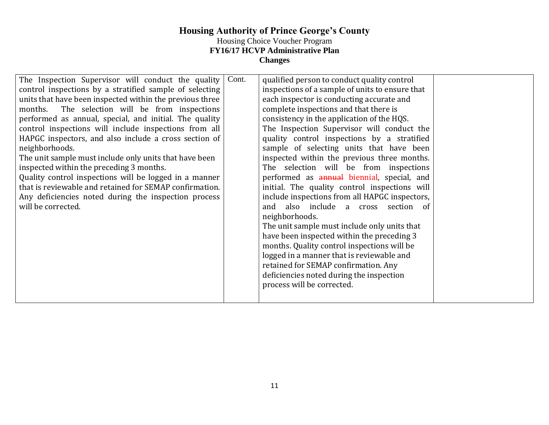| The Inspection Supervisor will conduct the quality<br>control inspections by a stratified sample of selecting<br>units that have been inspected within the previous three<br>The selection will be from inspections<br>months.<br>performed as annual, special, and initial. The quality<br>control inspections will include inspections from all<br>HAPGC inspectors, and also include a cross section of<br>neighborhoods.<br>The unit sample must include only units that have been<br>inspected within the preceding 3 months.<br>Quality control inspections will be logged in a manner<br>that is reviewable and retained for SEMAP confirmation.<br>Any deficiencies noted during the inspection process<br>will be corrected. | Cont. | qualified person to conduct quality control<br>inspections of a sample of units to ensure that<br>each inspector is conducting accurate and<br>complete inspections and that there is<br>consistency in the application of the HQS.<br>The Inspection Supervisor will conduct the<br>quality control inspections by a stratified<br>sample of selecting units that have been<br>inspected within the previous three months.<br>The selection will be from inspections<br>performed as annual biennial, special, and<br>initial. The quality control inspections will<br>include inspections from all HAPGC inspectors,<br>and also include a cross section of<br>neighborhoods.<br>The unit sample must include only units that<br>have been inspected within the preceding 3<br>months. Quality control inspections will be<br>logged in a manner that is reviewable and<br>retained for SEMAP confirmation. Any<br>deficiencies noted during the inspection<br>process will be corrected. |  |
|---------------------------------------------------------------------------------------------------------------------------------------------------------------------------------------------------------------------------------------------------------------------------------------------------------------------------------------------------------------------------------------------------------------------------------------------------------------------------------------------------------------------------------------------------------------------------------------------------------------------------------------------------------------------------------------------------------------------------------------|-------|---------------------------------------------------------------------------------------------------------------------------------------------------------------------------------------------------------------------------------------------------------------------------------------------------------------------------------------------------------------------------------------------------------------------------------------------------------------------------------------------------------------------------------------------------------------------------------------------------------------------------------------------------------------------------------------------------------------------------------------------------------------------------------------------------------------------------------------------------------------------------------------------------------------------------------------------------------------------------------------------|--|
|---------------------------------------------------------------------------------------------------------------------------------------------------------------------------------------------------------------------------------------------------------------------------------------------------------------------------------------------------------------------------------------------------------------------------------------------------------------------------------------------------------------------------------------------------------------------------------------------------------------------------------------------------------------------------------------------------------------------------------------|-------|---------------------------------------------------------------------------------------------------------------------------------------------------------------------------------------------------------------------------------------------------------------------------------------------------------------------------------------------------------------------------------------------------------------------------------------------------------------------------------------------------------------------------------------------------------------------------------------------------------------------------------------------------------------------------------------------------------------------------------------------------------------------------------------------------------------------------------------------------------------------------------------------------------------------------------------------------------------------------------------------|--|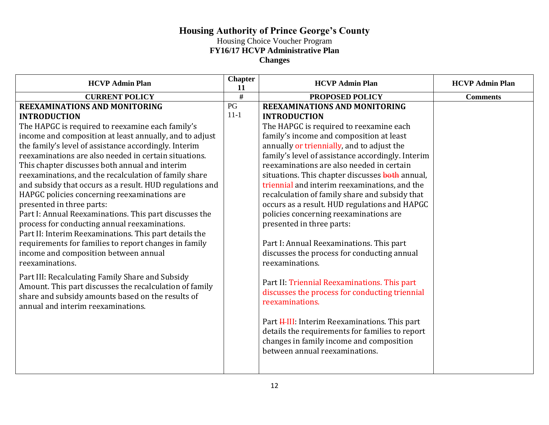| <b>HCVP Admin Plan</b>                                   | <b>Chapter</b><br>11 | <b>HCVP Admin Plan</b>                                                                      | <b>HCVP Admin Plan</b> |
|----------------------------------------------------------|----------------------|---------------------------------------------------------------------------------------------|------------------------|
| <b>CURRENT POLICY</b>                                    | $\overline{\#}$      | PROPOSED POLICY                                                                             | <b>Comments</b>        |
| <b>REEXAMINATIONS AND MONITORING</b>                     | PG                   | <b>REEXAMINATIONS AND MONITORING</b>                                                        |                        |
| <b>INTRODUCTION</b>                                      | $11 - 1$             | <b>INTRODUCTION</b>                                                                         |                        |
| The HAPGC is required to reexamine each family's         |                      | The HAPGC is required to reexamine each                                                     |                        |
| income and composition at least annually, and to adjust  |                      | family's income and composition at least                                                    |                        |
| the family's level of assistance accordingly. Interim    |                      | annually or triennially, and to adjust the                                                  |                        |
| reexaminations are also needed in certain situations.    |                      | family's level of assistance accordingly. Interim                                           |                        |
| This chapter discusses both annual and interim           |                      | reexaminations are also needed in certain                                                   |                        |
| reexaminations, and the recalculation of family share    |                      | situations. This chapter discusses both annual,                                             |                        |
| and subsidy that occurs as a result. HUD regulations and |                      | triennial and interim reexaminations, and the                                               |                        |
| HAPGC policies concerning reexaminations are             |                      | recalculation of family share and subsidy that                                              |                        |
| presented in three parts:                                |                      | occurs as a result. HUD regulations and HAPGC                                               |                        |
| Part I: Annual Reexaminations. This part discusses the   |                      | policies concerning reexaminations are                                                      |                        |
| process for conducting annual reexaminations.            |                      | presented in three parts:                                                                   |                        |
| Part II: Interim Reexaminations. This part details the   |                      |                                                                                             |                        |
| requirements for families to report changes in family    |                      | Part I: Annual Reexaminations. This part                                                    |                        |
| income and composition between annual                    |                      | discusses the process for conducting annual                                                 |                        |
| reexaminations.                                          |                      | reexaminations.                                                                             |                        |
| Part III: Recalculating Family Share and Subsidy         |                      |                                                                                             |                        |
| Amount. This part discusses the recalculation of family  |                      | Part II: Triennial Reexaminations. This part                                                |                        |
| share and subsidy amounts based on the results of        |                      | discusses the process for conducting triennial                                              |                        |
| annual and interim reexaminations.                       |                      | reexaminations.                                                                             |                        |
|                                                          |                      |                                                                                             |                        |
|                                                          |                      | Part <b>III</b> : Interim Reexaminations. This part                                         |                        |
|                                                          |                      | details the requirements for families to report<br>changes in family income and composition |                        |
|                                                          |                      | between annual reexaminations.                                                              |                        |
|                                                          |                      |                                                                                             |                        |
|                                                          |                      |                                                                                             |                        |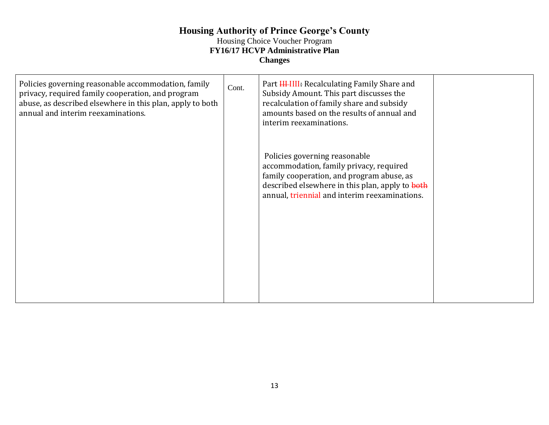## **Housing Authority of Prince George's County** Housing Choice Voucher Program

### **FY16/17 HCVP Administrative Plan**

**Changes**

| Policies governing reasonable accommodation, family<br>privacy, required family cooperation, and program<br>abuse, as described elsewhere in this plan, apply to both<br>annual and interim reexaminations. | Cont. | Part <b>HIMI:</b> Recalculating Family Share and<br>Subsidy Amount. This part discusses the<br>recalculation of family share and subsidy<br>amounts based on the results of annual and<br>interim reexaminations.         |  |
|-------------------------------------------------------------------------------------------------------------------------------------------------------------------------------------------------------------|-------|---------------------------------------------------------------------------------------------------------------------------------------------------------------------------------------------------------------------------|--|
|                                                                                                                                                                                                             |       | Policies governing reasonable<br>accommodation, family privacy, required<br>family cooperation, and program abuse, as<br>described elsewhere in this plan, apply to both<br>annual, triennial and interim reexaminations. |  |
|                                                                                                                                                                                                             |       |                                                                                                                                                                                                                           |  |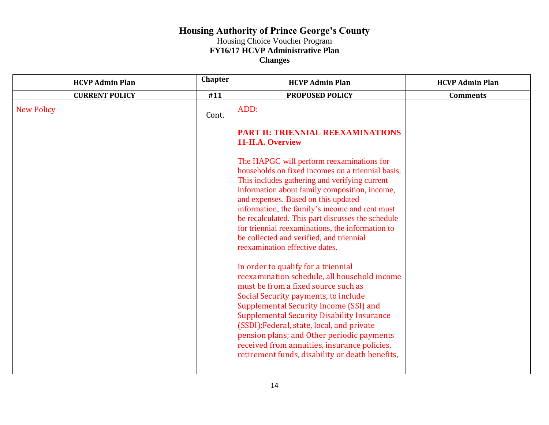| <b>HCVP Admin Plan</b> | <b>Chapter</b> | <b>HCVP Admin Plan</b>                                                                                                                                                                                                                                                                                                                                                                                                                                                           | <b>HCVP Admin Plan</b> |
|------------------------|----------------|----------------------------------------------------------------------------------------------------------------------------------------------------------------------------------------------------------------------------------------------------------------------------------------------------------------------------------------------------------------------------------------------------------------------------------------------------------------------------------|------------------------|
| <b>CURRENT POLICY</b>  | #11            | <b>PROPOSED POLICY</b>                                                                                                                                                                                                                                                                                                                                                                                                                                                           | <b>Comments</b>        |
| <b>New Policy</b>      | Cont.          | ADD:                                                                                                                                                                                                                                                                                                                                                                                                                                                                             |                        |
|                        |                | PART II: TRIENNIAL REEXAMINATIONS<br>11-II.A. Overview                                                                                                                                                                                                                                                                                                                                                                                                                           |                        |
|                        |                | The HAPGC will perform reexaminations for<br>households on fixed incomes on a triennial basis.<br>This includes gathering and verifying current<br>information about family composition, income,<br>and expenses. Based on this updated<br>information, the family's income and rent must<br>be recalculated. This part discusses the schedule<br>for triennial reexaminations, the information to<br>be collected and verified, and triennial<br>reexamination effective dates. |                        |
|                        |                | In order to qualify for a triennial<br>reexamination schedule, all household income<br>must be from a fixed source such as<br>Social Security payments, to include<br>Supplemental Security Income (SSI) and<br><b>Supplemental Security Disability Insurance</b><br>(SSDI); Federal, state, local, and private<br>pension plans; and Other periodic payments<br>received from annuities, insurance policies,<br>retirement funds, disability or death benefits,                 |                        |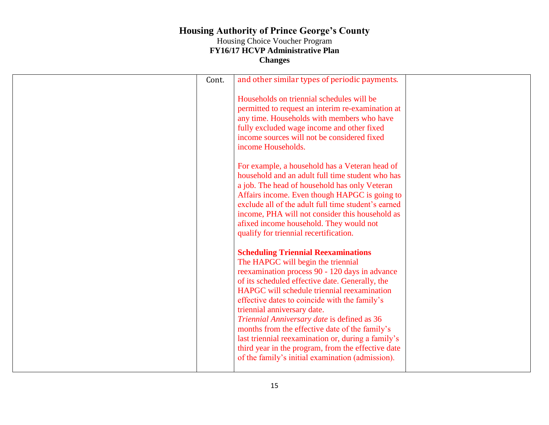| Cont. | and other similar types of periodic payments.                                                                                                                                                                                                                                                                                                                                                                                                                                                                                                                                         |  |
|-------|---------------------------------------------------------------------------------------------------------------------------------------------------------------------------------------------------------------------------------------------------------------------------------------------------------------------------------------------------------------------------------------------------------------------------------------------------------------------------------------------------------------------------------------------------------------------------------------|--|
|       | Households on triennial schedules will be<br>permitted to request an interim re-examination at<br>any time. Households with members who have<br>fully excluded wage income and other fixed<br>income sources will not be considered fixed<br>income Households.                                                                                                                                                                                                                                                                                                                       |  |
|       | For example, a household has a Veteran head of<br>household and an adult full time student who has<br>a job. The head of household has only Veteran<br>Affairs income. Even though HAPGC is going to<br>exclude all of the adult full time student's earned<br>income, PHA will not consider this household as<br>afixed income household. They would not<br>qualify for triennial recertification.                                                                                                                                                                                   |  |
|       | <b>Scheduling Triennial Reexaminations</b><br>The HAPGC will begin the triennial<br>reexamination process 90 - 120 days in advance<br>of its scheduled effective date. Generally, the<br>HAPGC will schedule triennial reexamination<br>effective dates to coincide with the family's<br>triennial anniversary date.<br>Triennial Anniversary date is defined as 36<br>months from the effective date of the family's<br>last triennial reexamination or, during a family's<br>third year in the program, from the effective date<br>of the family's initial examination (admission). |  |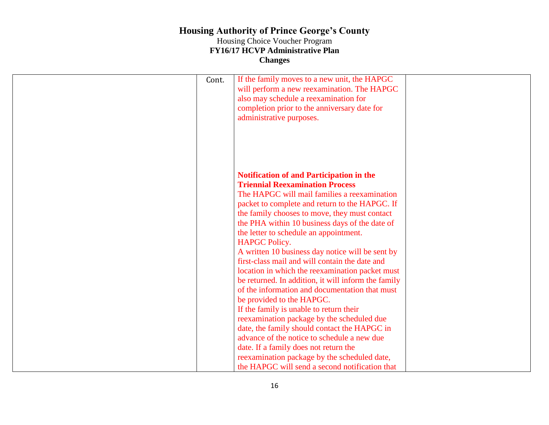| Cont. | If the family moves to a new unit, the HAPGC<br>will perform a new reexamination. The HAPGC<br>also may schedule a reexamination for<br>completion prior to the anniversary date for<br>administrative purposes.                                                                                                                                                                                                                                                                                                                                                                                                                                                                                                                                                                                                                                                                                                                                                                                   |  |
|-------|----------------------------------------------------------------------------------------------------------------------------------------------------------------------------------------------------------------------------------------------------------------------------------------------------------------------------------------------------------------------------------------------------------------------------------------------------------------------------------------------------------------------------------------------------------------------------------------------------------------------------------------------------------------------------------------------------------------------------------------------------------------------------------------------------------------------------------------------------------------------------------------------------------------------------------------------------------------------------------------------------|--|
|       | <b>Notification of and Participation in the</b><br><b>Triennial Reexamination Process</b><br>The HAPGC will mail families a reexamination<br>packet to complete and return to the HAPGC. If<br>the family chooses to move, they must contact<br>the PHA within 10 business days of the date of<br>the letter to schedule an appointment.<br><b>HAPGC Policy.</b><br>A written 10 business day notice will be sent by<br>first-class mail and will contain the date and<br>location in which the reexamination packet must<br>be returned. In addition, it will inform the family<br>of the information and documentation that must<br>be provided to the HAPGC.<br>If the family is unable to return their<br>reexamination package by the scheduled due<br>date, the family should contact the HAPGC in<br>advance of the notice to schedule a new due<br>date. If a family does not return the<br>reexamination package by the scheduled date,<br>the HAPGC will send a second notification that |  |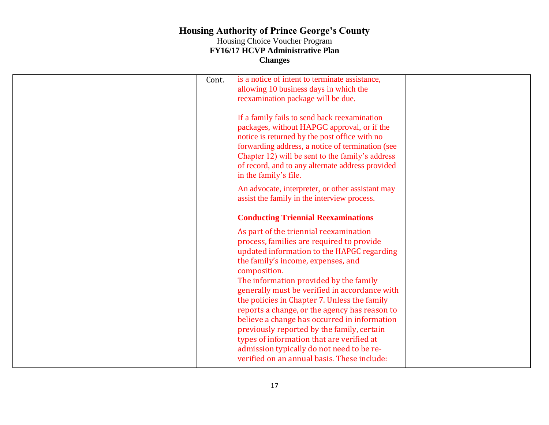| Cont. | is a notice of intent to terminate assistance,<br>allowing 10 business days in which the<br>reexamination package will be due.                                                                                                                                                                                                                                                                                                                                                                                                                                                                                             |  |
|-------|----------------------------------------------------------------------------------------------------------------------------------------------------------------------------------------------------------------------------------------------------------------------------------------------------------------------------------------------------------------------------------------------------------------------------------------------------------------------------------------------------------------------------------------------------------------------------------------------------------------------------|--|
|       | If a family fails to send back reexamination<br>packages, without HAPGC approval, or if the<br>notice is returned by the post office with no<br>forwarding address, a notice of termination (see<br>Chapter 12) will be sent to the family's address<br>of record, and to any alternate address provided<br>in the family's file.                                                                                                                                                                                                                                                                                          |  |
|       | An advocate, interpreter, or other assistant may<br>assist the family in the interview process.                                                                                                                                                                                                                                                                                                                                                                                                                                                                                                                            |  |
|       | <b>Conducting Triennial Reexaminations</b>                                                                                                                                                                                                                                                                                                                                                                                                                                                                                                                                                                                 |  |
|       | As part of the triennial reexamination<br>process, families are required to provide<br>updated information to the HAPGC regarding<br>the family's income, expenses, and<br>composition.<br>The information provided by the family<br>generally must be verified in accordance with<br>the policies in Chapter 7. Unless the family<br>reports a change, or the agency has reason to<br>believe a change has occurred in information<br>previously reported by the family, certain<br>types of information that are verified at<br>admission typically do not need to be re-<br>verified on an annual basis. These include: |  |
|       |                                                                                                                                                                                                                                                                                                                                                                                                                                                                                                                                                                                                                            |  |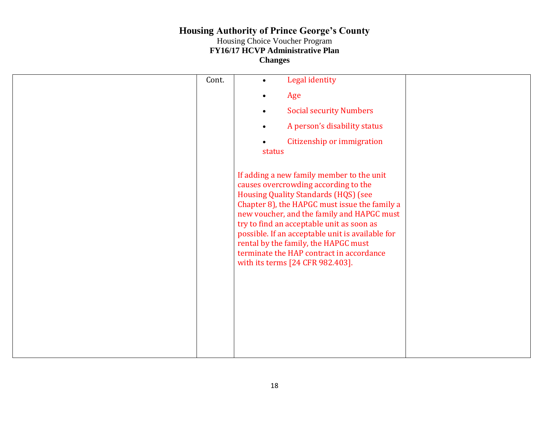| Cont. | Legal identity<br>$\bullet$                                                                                                                                                                                                                                                                                                                                                                                                                              |  |
|-------|----------------------------------------------------------------------------------------------------------------------------------------------------------------------------------------------------------------------------------------------------------------------------------------------------------------------------------------------------------------------------------------------------------------------------------------------------------|--|
|       | Age                                                                                                                                                                                                                                                                                                                                                                                                                                                      |  |
|       | <b>Social security Numbers</b>                                                                                                                                                                                                                                                                                                                                                                                                                           |  |
|       | A person's disability status<br>$\bullet$                                                                                                                                                                                                                                                                                                                                                                                                                |  |
|       | Citizenship or immigration<br>status                                                                                                                                                                                                                                                                                                                                                                                                                     |  |
|       |                                                                                                                                                                                                                                                                                                                                                                                                                                                          |  |
|       | If adding a new family member to the unit<br>causes overcrowding according to the<br><b>Housing Quality Standards (HQS) (see</b><br>Chapter 8), the HAPGC must issue the family a<br>new voucher, and the family and HAPGC must<br>try to find an acceptable unit as soon as<br>possible. If an acceptable unit is available for<br>rental by the family, the HAPGC must<br>terminate the HAP contract in accordance<br>with its terms [24 CFR 982.403]. |  |
|       |                                                                                                                                                                                                                                                                                                                                                                                                                                                          |  |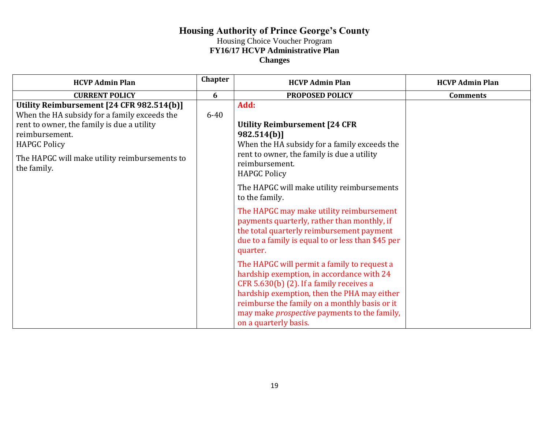| <b>HCVP Admin Plan</b>                                                                                                                                                           | <b>Chapter</b> | <b>HCVP Admin Plan</b>                                                                                                                                                                                                                                                                                               | <b>HCVP Admin Plan</b> |
|----------------------------------------------------------------------------------------------------------------------------------------------------------------------------------|----------------|----------------------------------------------------------------------------------------------------------------------------------------------------------------------------------------------------------------------------------------------------------------------------------------------------------------------|------------------------|
| <b>CURRENT POLICY</b>                                                                                                                                                            | 6              | PROPOSED POLICY                                                                                                                                                                                                                                                                                                      | <b>Comments</b>        |
| Utility Reimbursement [24 CFR 982.514(b)]<br>When the HA subsidy for a family exceeds the<br>rent to owner, the family is due a utility<br>reimbursement.<br><b>HAPGC Policy</b> | $6 - 40$       | Add:<br><b>Utility Reimbursement [24 CFR</b><br>982.514(b)]<br>When the HA subsidy for a family exceeds the                                                                                                                                                                                                          |                        |
| The HAPGC will make utility reimbursements to<br>the family.                                                                                                                     |                | rent to owner, the family is due a utility<br>reimbursement.<br><b>HAPGC Policy</b>                                                                                                                                                                                                                                  |                        |
|                                                                                                                                                                                  |                | The HAPGC will make utility reimbursements<br>to the family.                                                                                                                                                                                                                                                         |                        |
|                                                                                                                                                                                  |                | The HAPGC may make utility reimbursement<br>payments quarterly, rather than monthly, if<br>the total quarterly reimbursement payment<br>due to a family is equal to or less than \$45 per<br>quarter.                                                                                                                |                        |
|                                                                                                                                                                                  |                | The HAPGC will permit a family to request a<br>hardship exemption, in accordance with 24<br>CFR 5.630(b) (2). If a family receives a<br>hardship exemption, then the PHA may either<br>reimburse the family on a monthly basis or it<br>may make <i>prospective</i> payments to the family,<br>on a quarterly basis. |                        |